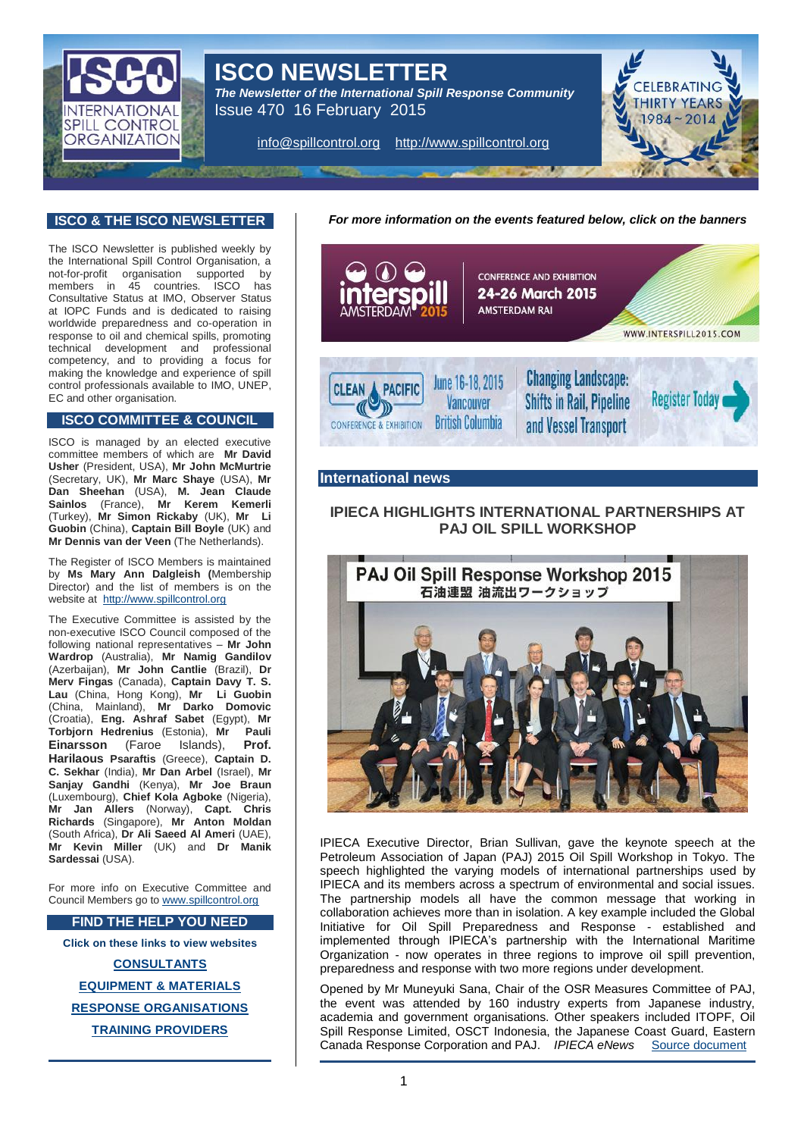

# **ISCO NEWSLETTER**

*The Newsletter of the International Spill Response Community*  Issue 470 16 February 2015

[info@spillcontrol.org](mailto:info@spillcontrol.org) [http://www.spillcontrol.org](http://www.spillcontrol.org/)



#### **ISCO & THE ISCO NEWSLETTER**

The ISCO Newsletter is published weekly by the International Spill Control Organisation, a not-for-profit organisation supported by members in 45 countries. ISCO has Consultative Status at IMO, Observer Status at IOPC Funds and is dedicated to raising worldwide preparedness and co-operation in response to oil and chemical spills, promoting technical development and professional competency, and to providing a focus for making the knowledge and experience of spill control professionals available to IMO, UNEP, EC and other organisation.

#### **ISCO COMMITTEE & COUNCIL**

ISCO is managed by an elected executive committee members of which are **Mr David Usher** (President, USA), **Mr John McMurtrie** (Secretary, UK), **Mr Marc Shaye** (USA), **Mr Dan Sheehan** (USA), **M. Jean Claude Sainlos** (France), **Mr Kerem Kemerli** (Turkey), **Mr Simon Rickaby** (UK), **Mr Li Guobin** (China), **Captain Bill Boyle** (UK) and **Mr Dennis van der Veen** (The Netherlands).

The Register of ISCO Members is maintained by **Ms Mary Ann Dalgleish (**Membership Director) and the list of members is on the website at [http://www.spillcontrol.org](http://www.spillcontrol.org/)

The Executive Committee is assisted by the non-executive ISCO Council composed of the following national representatives – **Mr John Wardrop** (Australia), **Mr Namig Gandilov** (Azerbaijan), **Mr John Cantlie** (Brazil), **Dr Merv Fingas** (Canada), **Captain Davy T. S. Lau** (China, Hong Kong), **Mr Li Guobin** (China, Mainland), **Mr Darko Domovic** (Croatia), **Eng. Ashraf Sabet** (Egypt), **Mr Torbjorn Hedrenius** (Estonia), **Mr Pauli Einarsson** (Faroe Islands), **Prof. Harilaous Psaraftis** (Greece), **Captain D. C. Sekhar** (India), **Mr Dan Arbel** (Israel), **Mr Sanjay Gandhi** (Kenya), **Mr Joe Braun** (Luxembourg), **Chief Kola Agboke** (Nigeria), **Mr Jan Allers** (Norway), **Capt. Chris Richards** (Singapore), **Mr Anton Moldan** (South Africa), **Dr Ali Saeed Al Ameri** (UAE), **Mr Kevin Miller** (UK) and **Dr Manik Sardessai** (USA).

For more info on Executive Committee and Council Members go t[o www.spillcontrol.org](http://www.spillcontrol.org/)

#### **FIND THE HELP YOU NEED**

**Click on these links to view websites**

**[CONSULTANTS](http://www.spillcontrol.org/index.php/2013-02-05-12-36-12/consultants) [EQUIPMENT & MATERIALS](http://www.spillcontrol.org/index.php/2013-02-05-12-36-12/equipment-materials) RESPONSE [ORGANISATIONS](http://www.spillcontrol.org/index.php/2013-02-05-12-36-12/response-organizations) [TRAINING PROVIDERS](http://www.spillcontrol.org/index.php/2013-02-05-12-36-12/training-providers)**

*For more information on the events featured below, click on the banners*



#### **International news**

# **IPIECA HIGHLIGHTS INTERNATIONAL PARTNERSHIPS AT PAJ OIL SPILL WORKSHOP**



IPIECA Executive Director, Brian Sullivan, gave the keynote speech at the Petroleum Association of Japan (PAJ) 2015 Oil Spill Workshop in Tokyo. The speech highlighted the varying models of international partnerships used by IPIECA and its members across a spectrum of environmental and social issues. The partnership models all have the common message that working in collaboration achieves more than in isolation. A key example included the Global Initiative for Oil Spill Preparedness and Response - established and implemented through IPIECA's partnership with the International Maritime Organization - now operates in three regions to improve oil spill prevention, preparedness and response with two more regions under development.

Opened by Mr Muneyuki Sana, Chair of the OSR Measures Committee of PAJ, the event was attended by 160 industry experts from Japanese industry, academia and government organisations. Other speakers included ITOPF, Oil Spill Response Limited, OSCT Indonesia, the Japanese Coast Guard, Eastern Canada Response Corporation and PAJ. *IPIECA eNews* [Source document](http://us6.campaign-archive2.com/?u=9ca74cd088b6e6be85d09adff&id=d1208cb7f9&e=95ec356fd3)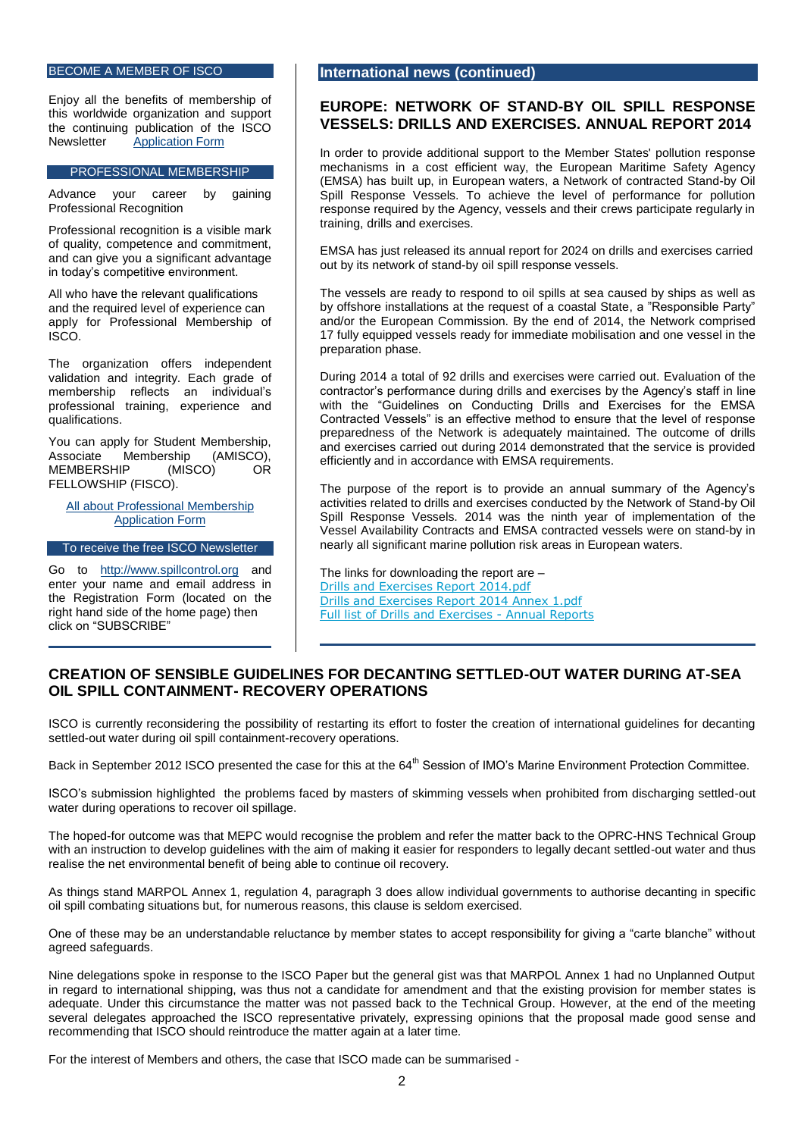#### BECOME A MEMBER OF ISCO

Enjoy all the benefits of membership of this worldwide organization and support the continuing publication of the ISCO<br>Newsletter Application Form [Application Form](http://www.spillcontrol.org/index.php/2013-02-05-10-50-47/membership-application)

#### PROFESSIONAL MEMBERSHIP

Advance your career by gaining Professional Recognition

Professional recognition is a visible mark of quality, competence and commitment, and can give you a significant advantage in today's competitive environment.

All who have the relevant qualifications and the required level of experience can apply for Professional Membership of ISCO.

The organization offers independent validation and integrity. Each grade of membership reflects an individual's professional training, experience and qualifications.

You can apply for Student Membership, Associate Membership (AMISCO),<br>MEMBERSHIP (MISCO) OR **MEMBERSHIP** FELLOWSHIP (FISCO).

[All about Professional Membership](http://www.spillcontrol.org/index.php/2013-02-05-10-50-47/professional/about-professional-membership) [Application Form](http://www.spillcontrol.org/index.php/2013-02-05-10-50-47/professional/application-form)

To receive the free ISCO Newsletter

Go to [http://www.spillcontrol.org](http://www.spillcontrol.org/) and enter your name and email address in the Registration Form (located on the right hand side of the home page) then click on "SUBSCRIBE"

#### **International news (continued)**

#### **EUROPE: NETWORK OF STAND-BY OIL SPILL RESPONSE VESSELS: DRILLS AND EXERCISES. ANNUAL REPORT 2014**

In order to provide additional support to the Member States' pollution response mechanisms in a cost efficient way, the European Maritime Safety Agency (EMSA) has built up, in European waters, a Network of contracted Stand-by Oil Spill Response Vessels. To achieve the level of performance for pollution response required by the Agency, vessels and their crews participate regularly in training, drills and exercises.

EMSA has just released its annual report for 2024 on drills and exercises carried out by its network of stand-by oil spill response vessels.

The vessels are ready to respond to oil spills at sea caused by ships as well as by offshore installations at the request of a coastal State, a "Responsible Party" and/or the European Commission. By the end of 2014, the Network comprised 17 fully equipped vessels ready for immediate mobilisation and one vessel in the preparation phase.

During 2014 a total of 92 drills and exercises were carried out. Evaluation of the contractor's performance during drills and exercises by the Agency's staff in line with the "Guidelines on Conducting Drills and Exercises for the EMSA Contracted Vessels" is an effective method to ensure that the level of response preparedness of the Network is adequately maintained. The outcome of drills and exercises carried out during 2014 demonstrated that the service is provided efficiently and in accordance with EMSA requirements.

The purpose of the report is to provide an annual summary of the Agency's activities related to drills and exercises conducted by the Network of Stand-by Oil Spill Response Vessels. 2014 was the ninth year of implementation of the Vessel Availability Contracts and EMSA contracted vessels were on stand-by in nearly all significant marine pollution risk areas in European waters.

The links for downloading the report are – [Drills and Exercises Report 2014.pdf](http://www.emsa.europa.eu/news-a-press-centre/external-news/download/3253/2328/23.html) [Drills and Exercises Report 2014 Annex 1.pdf](http://www.emsa.europa.eu/news-a-press-centre/external-news/download/3254/2328/23.html) [Full list of Drills and Exercises -](http://www.emsa.europa.eu/news-a-press-centre/external-news/weblink/21/2328/1.html) Annual Reports

### **CREATION OF SENSIBLE GUIDELINES FOR DECANTING SETTLED-OUT WATER DURING AT-SEA OIL SPILL CONTAINMENT- RECOVERY OPERATIONS**

ISCO is currently reconsidering the possibility of restarting its effort to foster the creation of international guidelines for decanting settled-out water during oil spill containment-recovery operations.

Back in September 2012 ISCO presented the case for this at the 64<sup>th</sup> Session of IMO's Marine Environment Protection Committee.

ISCO's submission highlighted the problems faced by masters of skimming vessels when prohibited from discharging settled-out water during operations to recover oil spillage.

The hoped-for outcome was that MEPC would recognise the problem and refer the matter back to the OPRC-HNS Technical Group with an instruction to develop guidelines with the aim of making it easier for responders to legally decant settled-out water and thus realise the net environmental benefit of being able to continue oil recovery.

As things stand MARPOL Annex 1, regulation 4, paragraph 3 does allow individual governments to authorise decanting in specific oil spill combating situations but, for numerous reasons, this clause is seldom exercised.

One of these may be an understandable reluctance by member states to accept responsibility for giving a "carte blanche" without agreed safeguards.

Nine delegations spoke in response to the ISCO Paper but the general gist was that MARPOL Annex 1 had no Unplanned Output in regard to international shipping, was thus not a candidate for amendment and that the existing provision for member states is adequate. Under this circumstance the matter was not passed back to the Technical Group. However, at the end of the meeting several delegates approached the ISCO representative privately, expressing opinions that the proposal made good sense and recommending that ISCO should reintroduce the matter again at a later time.

For the interest of Members and others, the case that ISCO made can be summarised -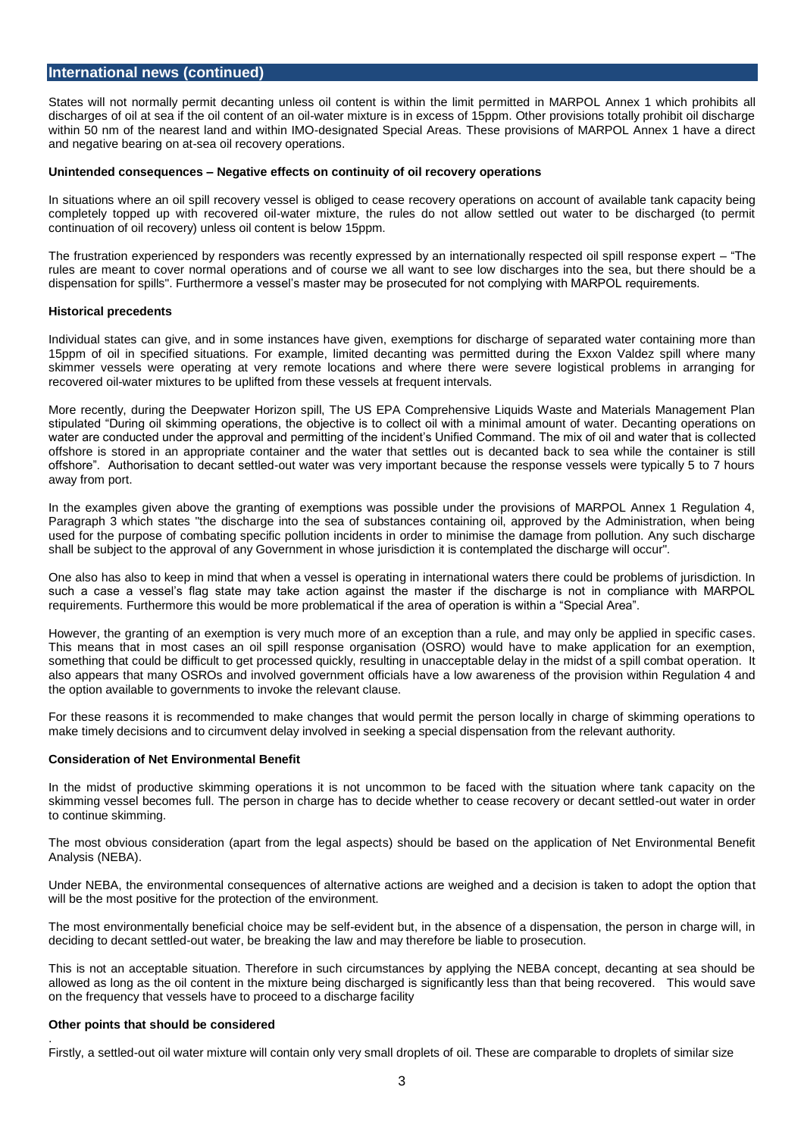#### **International news (continued)**

States will not normally permit decanting unless oil content is within the limit permitted in MARPOL Annex 1 which prohibits all discharges of oil at sea if the oil content of an oil-water mixture is in excess of 15ppm. Other provisions totally prohibit oil discharge within 50 nm of the nearest land and within IMO-designated Special Areas. These provisions of MARPOL Annex 1 have a direct and negative bearing on at-sea oil recovery operations.

#### **Unintended consequences – Negative effects on continuity of oil recovery operations**

In situations where an oil spill recovery vessel is obliged to cease recovery operations on account of available tank capacity being completely topped up with recovered oil-water mixture, the rules do not allow settled out water to be discharged (to permit continuation of oil recovery) unless oil content is below 15ppm.

The frustration experienced by responders was recently expressed by an internationally respected oil spill response expert – "The rules are meant to cover normal operations and of course we all want to see low discharges into the sea, but there should be a dispensation for spills". Furthermore a vessel's master may be prosecuted for not complying with MARPOL requirements.

#### **Historical precedents**

Individual states can give, and in some instances have given, exemptions for discharge of separated water containing more than 15ppm of oil in specified situations. For example, limited decanting was permitted during the Exxon Valdez spill where many skimmer vessels were operating at very remote locations and where there were severe logistical problems in arranging for recovered oil-water mixtures to be uplifted from these vessels at frequent intervals.

More recently, during the Deepwater Horizon spill, The US EPA Comprehensive Liquids Waste and Materials Management Plan stipulated "During oil skimming operations, the objective is to collect oil with a minimal amount of water. Decanting operations on water are conducted under the approval and permitting of the incident's Unified Command. The mix of oil and water that is collected offshore is stored in an appropriate container and the water that settles out is decanted back to sea while the container is still offshore". Authorisation to decant settled-out water was very important because the response vessels were typically 5 to 7 hours away from port.

In the examples given above the granting of exemptions was possible under the provisions of MARPOL Annex 1 Regulation 4, Paragraph 3 which states "the discharge into the sea of substances containing oil, approved by the Administration, when being used for the purpose of combating specific pollution incidents in order to minimise the damage from pollution. Any such discharge shall be subject to the approval of any Government in whose jurisdiction it is contemplated the discharge will occur".

One also has also to keep in mind that when a vessel is operating in international waters there could be problems of jurisdiction. In such a case a vessel's flag state may take action against the master if the discharge is not in compliance with MARPOL requirements. Furthermore this would be more problematical if the area of operation is within a "Special Area".

However, the granting of an exemption is very much more of an exception than a rule, and may only be applied in specific cases. This means that in most cases an oil spill response organisation (OSRO) would have to make application for an exemption, something that could be difficult to get processed quickly, resulting in unacceptable delay in the midst of a spill combat operation. It also appears that many OSROs and involved government officials have a low awareness of the provision within Regulation 4 and the option available to governments to invoke the relevant clause.

For these reasons it is recommended to make changes that would permit the person locally in charge of skimming operations to make timely decisions and to circumvent delay involved in seeking a special dispensation from the relevant authority.

#### **Consideration of Net Environmental Benefit**

In the midst of productive skimming operations it is not uncommon to be faced with the situation where tank capacity on the skimming vessel becomes full. The person in charge has to decide whether to cease recovery or decant settled-out water in order to continue skimming.

The most obvious consideration (apart from the legal aspects) should be based on the application of Net Environmental Benefit Analysis (NEBA).

Under NEBA, the environmental consequences of alternative actions are weighed and a decision is taken to adopt the option that will be the most positive for the protection of the environment.

The most environmentally beneficial choice may be self-evident but, in the absence of a dispensation, the person in charge will, in deciding to decant settled-out water, be breaking the law and may therefore be liable to prosecution.

This is not an acceptable situation. Therefore in such circumstances by applying the NEBA concept, decanting at sea should be allowed as long as the oil content in the mixture being discharged is significantly less than that being recovered. This would save on the frequency that vessels have to proceed to a discharge facility

#### **Other points that should be considered**

.

Firstly, a settled-out oil water mixture will contain only very small droplets of oil. These are comparable to droplets of similar size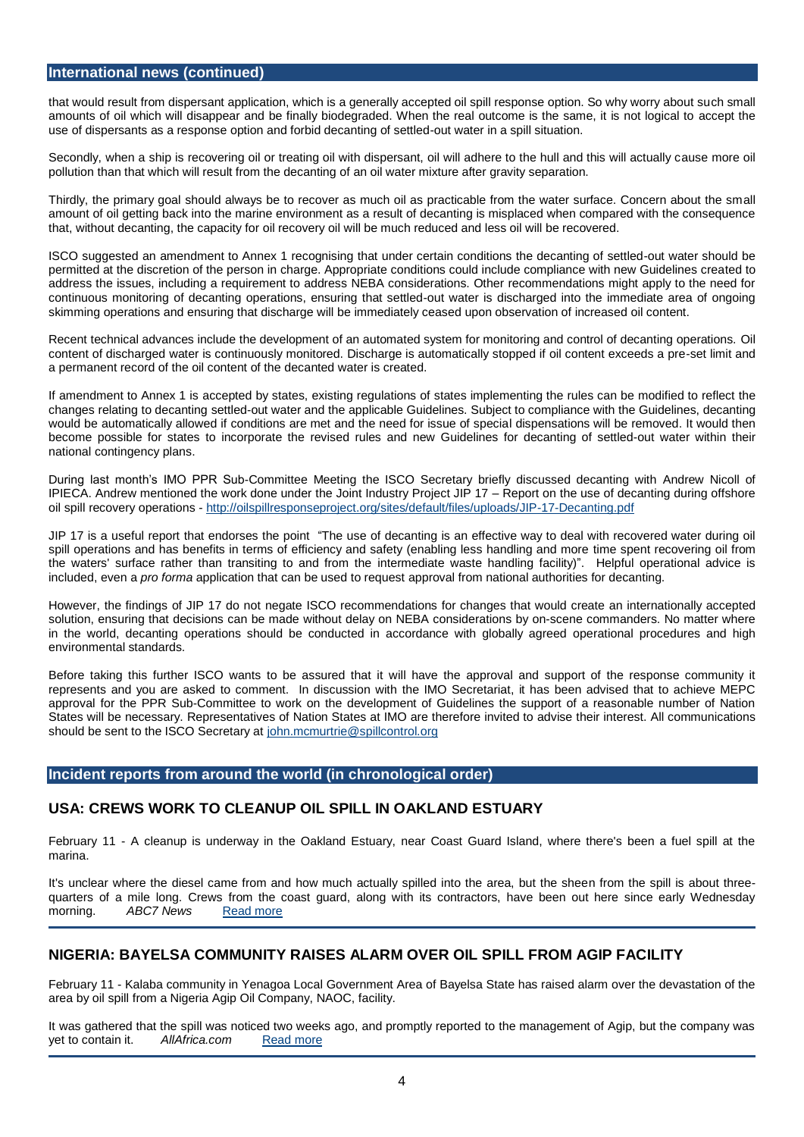#### **International news (continued)**

that would result from dispersant application, which is a generally accepted oil spill response option. So why worry about such small amounts of oil which will disappear and be finally biodegraded. When the real outcome is the same, it is not logical to accept the use of dispersants as a response option and forbid decanting of settled-out water in a spill situation.

Secondly, when a ship is recovering oil or treating oil with dispersant, oil will adhere to the hull and this will actually cause more oil pollution than that which will result from the decanting of an oil water mixture after gravity separation.

Thirdly, the primary goal should always be to recover as much oil as practicable from the water surface. Concern about the small amount of oil getting back into the marine environment as a result of decanting is misplaced when compared with the consequence that, without decanting, the capacity for oil recovery oil will be much reduced and less oil will be recovered.

ISCO suggested an amendment to Annex 1 recognising that under certain conditions the decanting of settled-out water should be permitted at the discretion of the person in charge. Appropriate conditions could include compliance with new Guidelines created to address the issues, including a requirement to address NEBA considerations. Other recommendations might apply to the need for continuous monitoring of decanting operations, ensuring that settled-out water is discharged into the immediate area of ongoing skimming operations and ensuring that discharge will be immediately ceased upon observation of increased oil content.

Recent technical advances include the development of an automated system for monitoring and control of decanting operations. Oil content of discharged water is continuously monitored. Discharge is automatically stopped if oil content exceeds a pre-set limit and a permanent record of the oil content of the decanted water is created.

If amendment to Annex 1 is accepted by states, existing regulations of states implementing the rules can be modified to reflect the changes relating to decanting settled-out water and the applicable Guidelines. Subject to compliance with the Guidelines, decanting would be automatically allowed if conditions are met and the need for issue of special dispensations will be removed. It would then become possible for states to incorporate the revised rules and new Guidelines for decanting of settled-out water within their national contingency plans.

During last month's IMO PPR Sub-Committee Meeting the ISCO Secretary briefly discussed decanting with Andrew Nicoll of IPIECA. Andrew mentioned the work done under the Joint Industry Project JIP 17 – Report on the use of decanting during offshore oil spill recovery operations - <http://oilspillresponseproject.org/sites/default/files/uploads/JIP-17-Decanting.pdf>

JIP 17 is a useful report that endorses the point "The use of decanting is an effective way to deal with recovered water during oil spill operations and has benefits in terms of efficiency and safety (enabling less handling and more time spent recovering oil from the waters' surface rather than transiting to and from the intermediate waste handling facility)". Helpful operational advice is included, even a *pro forma* application that can be used to request approval from national authorities for decanting.

However, the findings of JIP 17 do not negate ISCO recommendations for changes that would create an internationally accepted solution, ensuring that decisions can be made without delay on NEBA considerations by on-scene commanders. No matter where in the world, decanting operations should be conducted in accordance with globally agreed operational procedures and high environmental standards.

Before taking this further ISCO wants to be assured that it will have the approval and support of the response community it represents and you are asked to comment. In discussion with the IMO Secretariat, it has been advised that to achieve MEPC approval for the PPR Sub-Committee to work on the development of Guidelines the support of a reasonable number of Nation States will be necessary. Representatives of Nation States at IMO are therefore invited to advise their interest. All communications should be sent to the ISCO Secretary a[t john.mcmurtrie@spillcontrol.org](mailto:john.mcmurtrie@spillcontrol.org)

### **Incident reports from around the world (in chronological order)**

### **USA: CREWS WORK TO CLEANUP OIL SPILL IN OAKLAND ESTUARY**

February 11 - A cleanup is underway in the Oakland Estuary, near Coast Guard Island, where there's been a fuel spill at the marina.

It's unclear where the diesel came from and how much actually spilled into the area, but the sheen from the spill is about threequarters of a mile long. Crews from the coast guard, along with its contractors, have been out here since early Wednesday<br>morning. ABC7 News Read more morning. **ABC7 News** [Read more](http://abc7news.com/news/crews-work-to-cleanup-oil-spill-in-oakland-estuary-/514031/)

# **NIGERIA: BAYELSA COMMUNITY RAISES ALARM OVER OIL SPILL FROM AGIP FACILITY**

February 11 - Kalaba community in Yenagoa Local Government Area of Bayelsa State has raised alarm over the devastation of the area by oil spill from a Nigeria Agip Oil Company, NAOC, facility.

It was gathered that the spill was noticed two weeks ago, and promptly reported to the management of Agip, but the company was yet to contain it. AllAfrica.com Read more yet to contain it.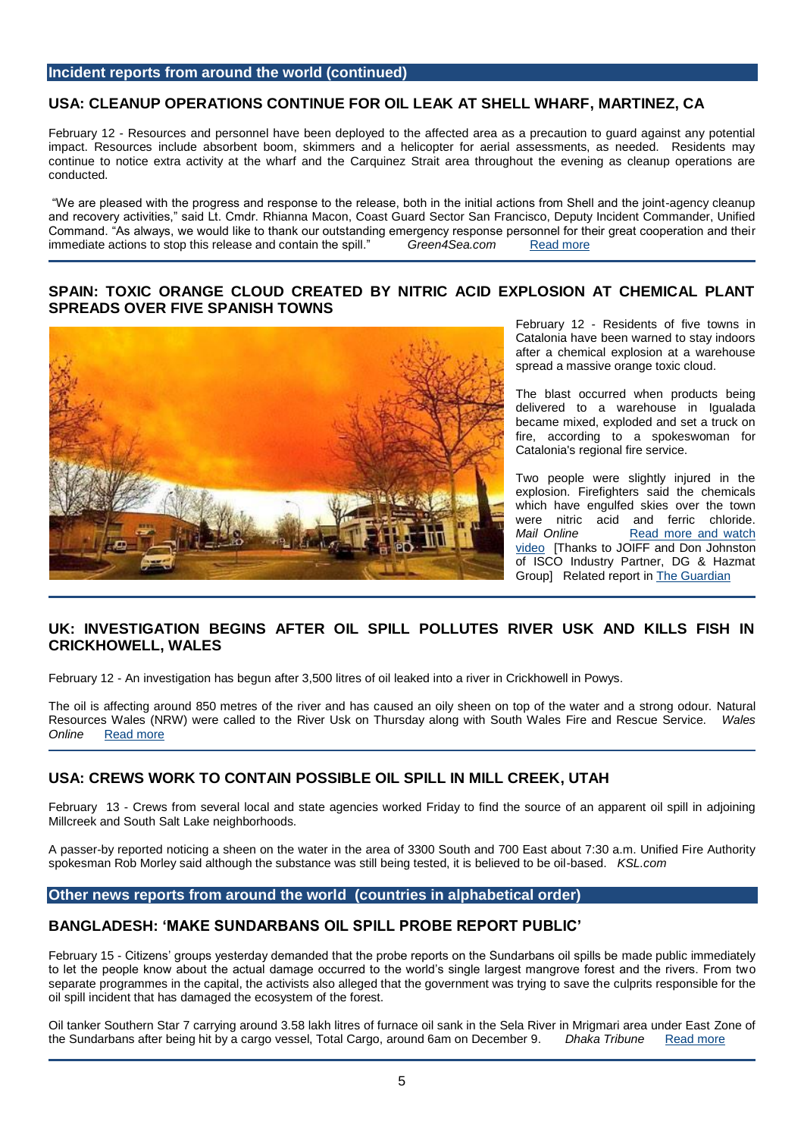#### **Incident reports from around the world (continued)**

#### **USA: CLEANUP OPERATIONS CONTINUE FOR OIL LEAK AT SHELL WHARF, MARTINEZ, CA**

February 12 - Resources and personnel have been deployed to the affected area as a precaution to guard against any potential impact. Resources include absorbent boom, skimmers and a helicopter for aerial assessments, as needed. Residents may continue to notice extra activity at the wharf and the Carquinez Strait area throughout the evening as cleanup operations are conducted.

"We are pleased with the progress and response to the release, both in the initial actions from Shell and the joint-agency cleanup and recovery activities," said Lt. Cmdr. Rhianna Macon, Coast Guard Sector San Francisco, Deputy Incident Commander, Unified Command. "As always, we would like to thank our outstanding emergency response personnel for their great cooperation and their immediate actions to stop this release and contain the spill." Green4Sea.com [Read more](http://www.green4sea.com/cleanup-operations-continue-oil-leak-shell-wharf/)

# **SPAIN: TOXIC ORANGE CLOUD CREATED BY NITRIC ACID EXPLOSION AT CHEMICAL PLANT SPREADS OVER FIVE SPANISH TOWNS**



February 12 - Residents of five towns in Catalonia have been warned to stay indoors after a chemical explosion at a warehouse spread a massive orange toxic cloud.

The blast occurred when products being delivered to a warehouse in Igualada became mixed, exploded and set a truck on fire, according to a spokeswoman for Catalonia's regional fire service.

Two people were slightly injured in the explosion. Firefighters said the chemicals which have engulfed skies over the town were nitric acid and ferric chloride.<br>
Mail Online Read more and watch *Mail Online* [Read more and watch](http://www.dailymail.co.uk/news/article-2950648/Toxic-orange-cloud-created-nitric-acid-explosion-chemical-plant-spreads-FIVE-Spanish-towns-forcing-authorities-order-stay-inside.html)  [video](http://www.dailymail.co.uk/news/article-2950648/Toxic-orange-cloud-created-nitric-acid-explosion-chemical-plant-spreads-FIVE-Spanish-towns-forcing-authorities-order-stay-inside.html) [Thanks to JOIFF and Don Johnston of ISCO Industry Partner, DG & Hazmat Group] Related report in [The Guardian](http://www.theguardian.com/world/2015/feb/12/toxic-orange-cloud-spreads-over-catalonia-after-chemical-blast-spain?CMP=share_btn_tw)

# **UK: INVESTIGATION BEGINS AFTER OIL SPILL POLLUTES RIVER USK AND KILLS FISH IN CRICKHOWELL, WALES**

February 12 - An investigation has begun after 3,500 litres of oil leaked into a river in Crickhowell in Powys.

The oil is affecting around 850 metres of the river and has caused an oily sheen on top of the water and a strong odour. Natural Resources Wales (NRW) were called to the River Usk on Thursday along with South Wales Fire and Rescue Service. *Wales*  **Online [Read more](http://www.walesonline.co.uk/news/wales-news/investigation-begins-after-oil-spill-8635218)** 

# **USA: CREWS WORK TO CONTAIN POSSIBLE OIL SPILL IN MILL CREEK, UTAH**

February 13 - Crews from several local and state agencies worked Friday to find the source of an apparent oil spill in adjoining Millcreek and South Salt Lake neighborhoods.

A passer-by reported noticing a sheen on the water in the area of 3300 South and 700 East about 7:30 a.m. Unified Fire Authority spokesman Rob Morley said although the substance was still being tested, it is believed to be oil-based. *KSL.com* 

#### **Other news reports from around the world (countries in alphabetical order)**

#### **BANGLADESH: 'MAKE SUNDARBANS OIL SPILL PROBE REPORT PUBLIC'**

February 15 - Citizens' groups yesterday demanded that the probe reports on the Sundarbans oil spills be made public immediately to let the people know about the actual damage occurred to the world's single largest mangrove forest and the rivers. From two separate programmes in the capital, the activists also alleged that the government was trying to save the culprits responsible for the oil spill incident that has damaged the ecosystem of the forest.

Oil tanker Southern Star 7 carrying around 3.58 lakh litres of furnace oil sank in the Sela River in Mrigmari area under East Zone of the Sundarbans after being hit by a cargo vessel, Total Cargo, around 6am on December 9. the Sundarbans after being hit by a cargo vessel, Total Cargo, around 6am on December 9.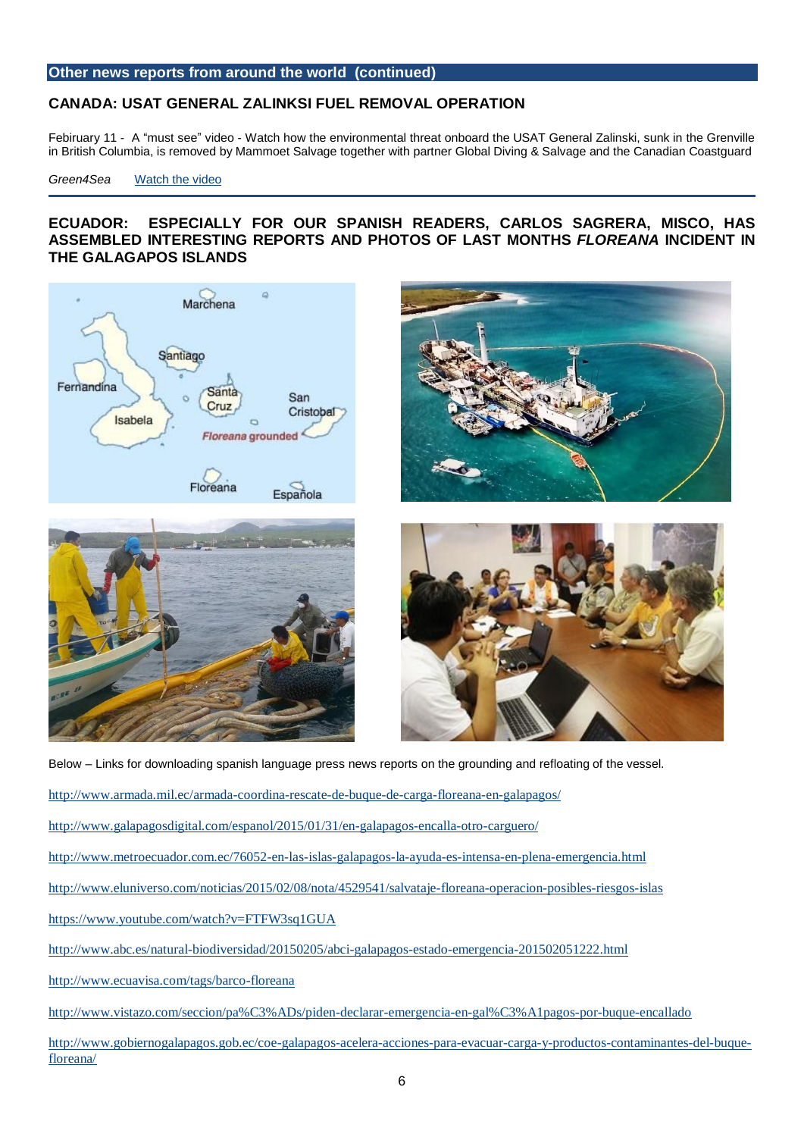# **CANADA: USAT GENERAL ZALINKSI FUEL REMOVAL OPERATION**

Febiruary 11 - A "must see" video - Watch how the environmental threat onboard the USAT General Zalinski, sunk in the Grenville in British Columbia, is removed by Mammoet Salvage together with partner Global Diving & Salvage and the Canadian Coastguard

#### *Green4Sea* [Watch the video](http://www.green4sea.com/usat-general-zalinksi-fuel-removal-operation/)

# **ECUADOR: ESPECIALLY FOR OUR SPANISH READERS, CARLOS SAGRERA, MISCO, HAS ASSEMBLED INTERESTING REPORTS AND PHOTOS OF LAST MONTHS** *FLOREANA* **INCIDENT IN THE GALAGAPOS ISLANDS**









Below – Links for downloading spanish language press news reports on the grounding and refloating of the vessel.

- <http://www.armada.mil.ec/armada-coordina-rescate-de-buque-de-carga-floreana-en-galapagos/>
- <http://www.galapagosdigital.com/espanol/2015/01/31/en-galapagos-encalla-otro-carguero/>
- <http://www.metroecuador.com.ec/76052-en-las-islas-galapagos-la-ayuda-es-intensa-en-plena-emergencia.html>
- <http://www.eluniverso.com/noticias/2015/02/08/nota/4529541/salvataje-floreana-operacion-posibles-riesgos-islas>

<https://www.youtube.com/watch?v=FTFW3sq1GUA>

- <http://www.abc.es/natural-biodiversidad/20150205/abci-galapagos-estado-emergencia-201502051222.html>
- <http://www.ecuavisa.com/tags/barco-floreana>

<http://www.vistazo.com/seccion/pa%C3%ADs/piden-declarar-emergencia-en-gal%C3%A1pagos-por-buque-encallado>

[http://www.gobiernogalapagos.gob.ec/coe-galapagos-acelera-acciones-para-evacuar-carga-y-productos-contaminantes-del-buque](http://www.gobiernogalapagos.gob.ec/coe-galapagos-acelera-acciones-para-evacuar-carga-y-productos-contaminantes-del-buque-floreana/)[floreana/](http://www.gobiernogalapagos.gob.ec/coe-galapagos-acelera-acciones-para-evacuar-carga-y-productos-contaminantes-del-buque-floreana/)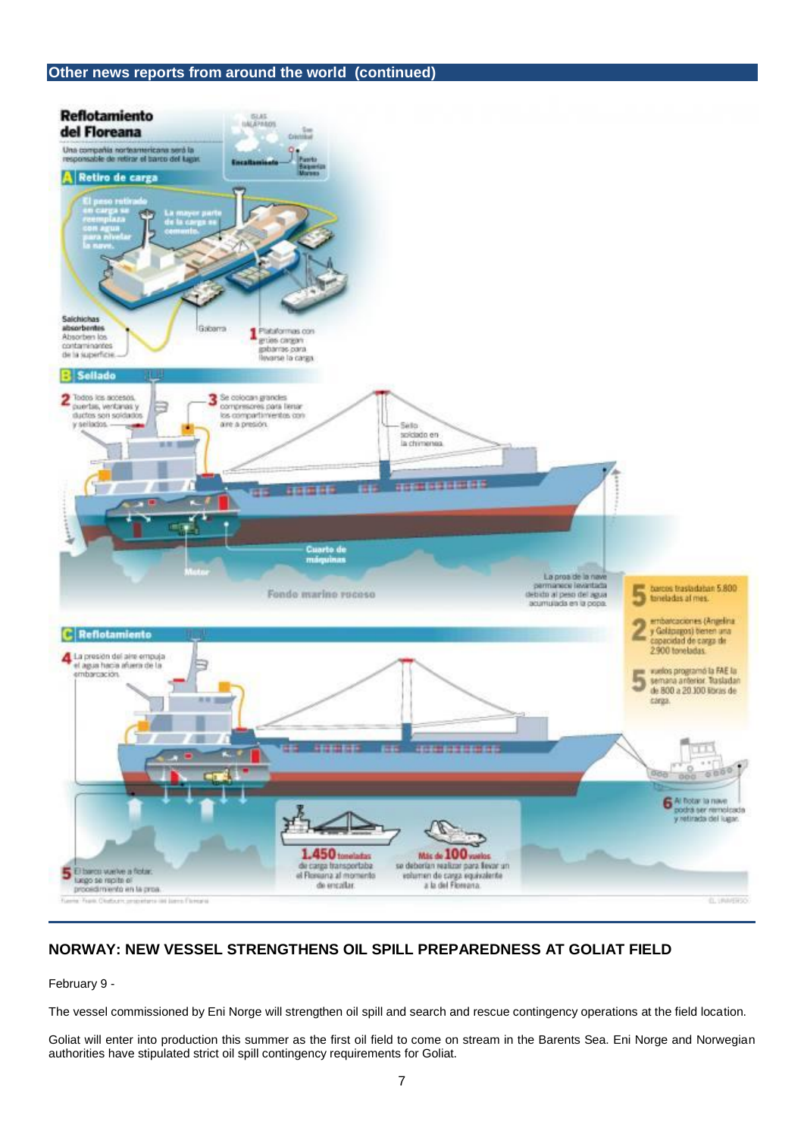

# **NORWAY: NEW VESSEL STRENGTHENS OIL SPILL PREPAREDNESS AT GOLIAT FIELD**

February 9 -

The vessel commissioned by Eni Norge will strengthen oil spill and search and rescue contingency operations at the field location.

Goliat will enter into production this summer as the first oil field to come on stream in the Barents Sea. Eni Norge and Norwegian authorities have stipulated strict oil spill contingency requirements for Goliat.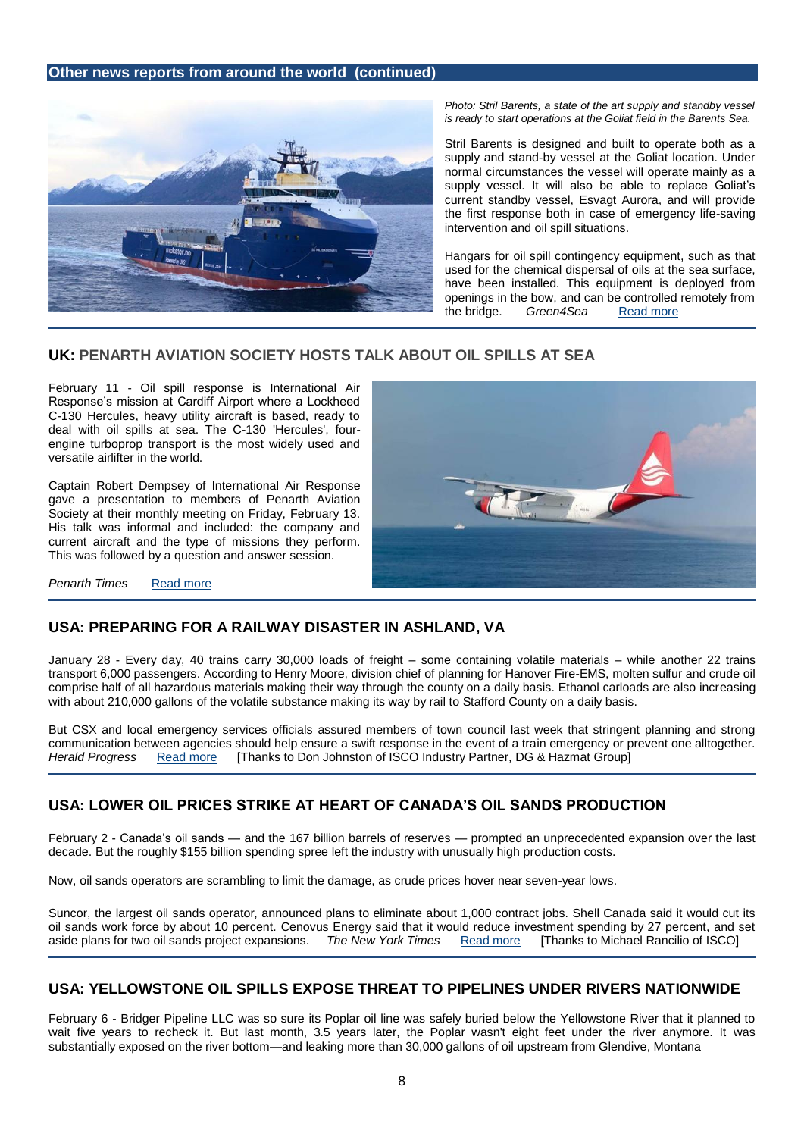

*Photo: Stril Barents, a state of the art supply and standby vessel is ready to start operations at the Goliat field in the Barents Sea.*

Stril Barents is designed and built to operate both as a supply and stand-by vessel at the Goliat location. Under normal circumstances the vessel will operate mainly as a supply vessel. It will also be able to replace Goliat's current standby vessel, Esvagt Aurora, and will provide the first response both in case of emergency life-saving intervention and oil spill situations.

Hangars for oil spill contingency equipment, such as that used for the chemical dispersal of oils at the sea surface, have been installed. This equipment is deployed from openings in the bow, and can be controlled remotely from the bridge. *Green4Sea* [Read more](http://www.green4sea.com/new-vessel-strengthens-oil-spill-preparedness-goliat-field/)

### **UK: PENARTH AVIATION SOCIETY HOSTS TALK ABOUT OIL SPILLS AT SEA**

February 11 - Oil spill response is International Air Response's mission at Cardiff Airport where a Lockheed C-130 Hercules, heavy utility aircraft is based, ready to deal with oil spills at sea. The C-130 'Hercules', fourengine turboprop transport is the most widely used and versatile airlifter in the world.

Captain Robert Dempsey of International Air Response gave a presentation to members of Penarth Aviation Society at their monthly meeting on Friday, February 13. His talk was informal and included: the company and current aircraft and the type of missions they perform. This was followed by a question and answer session.



**Penarth Times** [Read more](http://www.penarthtimes.co.uk/news/11787087.Penarth_Aviation_Society_set_to_host_talk_about_oil_spills_at_sea/)

# **USA: PREPARING FOR A RAILWAY DISASTER IN ASHLAND, VA**

January 28 - Every day, 40 trains carry 30,000 loads of freight – some containing volatile materials – while another 22 trains transport 6,000 passengers. According to Henry Moore, division chief of planning for Hanover Fire-EMS, molten sulfur and crude oil comprise half of all hazardous materials making their way through the county on a daily basis. Ethanol carloads are also increasing with about 210,000 gallons of the volatile substance making its way by rail to Stafford County on a daily basis.

But CSX and local emergency services officials assured members of town council last week that stringent planning and strong communication between agencies should help ensure a swift response in the event of a train emergency or prevent one alltogether. *Herald Progress* [Read more](http://www.herald-progress.com/?p=19589) [Thanks to Don Johnston of ISCO Industry Partner, DG & Hazmat Group]

# **USA: LOWER OIL PRICES STRIKE AT HEART OF CANADA'S OIL SANDS PRODUCTION**

February 2 - Canada's oil sands — and the 167 billion barrels of reserves — prompted an unprecedented expansion over the last decade. But the roughly \$155 billion spending spree left the industry with unusually high production costs.

Now, oil sands operators are scrambling to limit the damage, as crude prices hover near seven-year lows.

Suncor, the largest oil sands operator, announced plans to eliminate about 1,000 contract jobs. Shell Canada said it would cut its oil sands work force by about 10 percent. Cenovus Energy said that it would reduce investment spending by 27 percent, and set aside plans for two oil sands project expansions. *The New York Times* [Read more](http://www.nytimes.com/2015/02/03/business/energy-environment/lower-oil-prices-strike-at-heart-of-oil-sands-production.html?smprod=nytcore-ipad&smid=nytcore-ipad-share&_r=0) [Thanks to Michael Rancilio of ISCO]

# **USA: YELLOWSTONE OIL SPILLS EXPOSE THREAT TO PIPELINES UNDER RIVERS NATIONWIDE**

February 6 - Bridger Pipeline LLC was so sure its Poplar oil line was safely buried below the Yellowstone River that it planned to wait five years to recheck it. But last month, 3.5 years later, the Poplar wasn't eight feet under the river anymore. It was substantially exposed on the river bottom—and leaking more than 30,000 gallons of oil upstream from Glendive, Montana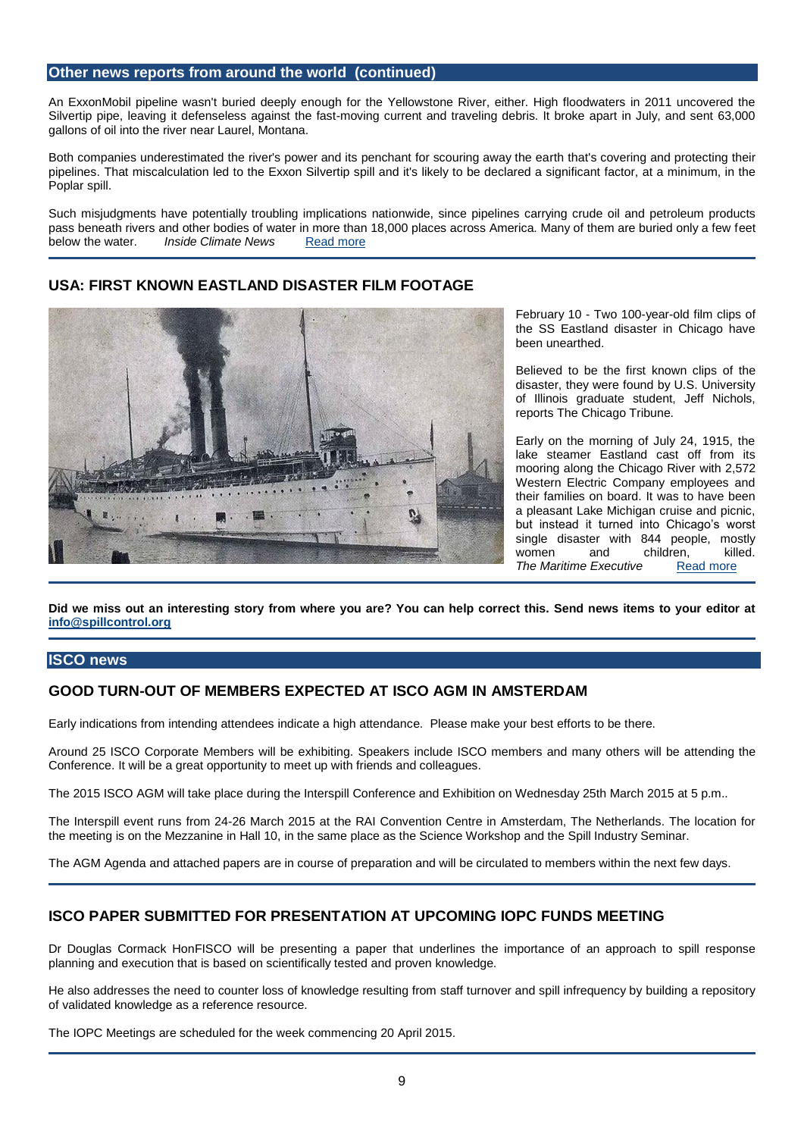An ExxonMobil pipeline wasn't buried deeply enough for the Yellowstone River, either. High floodwaters in 2011 uncovered the Silvertip pipe, leaving it defenseless against the fast-moving current and traveling debris. It broke apart in July, and sent 63,000 gallons of oil into the river near Laurel, Montana.

Both companies underestimated the river's power and its penchant for scouring away the earth that's covering and protecting their pipelines. That miscalculation led to the Exxon Silvertip spill and it's likely to be declared a significant factor, at a minimum, in the Poplar spill.

Such misjudgments have potentially troubling implications nationwide, since pipelines carrying crude oil and petroleum products pass beneath rivers and other bodies of water in more than 18,000 places across America. Many of them are buried only a few feet below the water. **Inside Climate News** [Read more](http://insideclimatenews.org/news/06022015/yellowstone-oil-spills-expose-threat-pipelines-under-rivers-nationwide)

# **USA: FIRST KNOWN EASTLAND DISASTER FILM FOOTAGE**



February 10 - Two 100-year-old film clips of the SS Eastland disaster in Chicago have been unearthed.

Believed to be the first known clips of the disaster, they were found by U.S. University of Illinois graduate student, Jeff Nichols, reports The Chicago Tribune.

Early on the morning of July 24, 1915, the lake steamer Eastland cast off from its mooring along the Chicago River with 2,572 Western Electric Company employees and their families on board. It was to have been a pleasant Lake Michigan cruise and picnic, but instead it turned into Chicago's worst single disaster with 844 people, mostly women and children, killed. **The Maritime Executive •• [Read more](http://www.maritime-executive.com/article/first-known-eastland-disaster-film-footage)** 

**Did we miss out an interesting story from where you are? You can help correct this. Send news items to your editor at [info@spillcontrol.org](mailto:info@spillcontrol.org)**

#### **ISCO news**

### **GOOD TURN-OUT OF MEMBERS EXPECTED AT ISCO AGM IN AMSTERDAM**

Early indications from intending attendees indicate a high attendance. Please make your best efforts to be there.

Around 25 ISCO Corporate Members will be exhibiting. Speakers include ISCO members and many others will be attending the Conference. It will be a great opportunity to meet up with friends and colleagues.

The 2015 ISCO AGM will take place during the Interspill Conference and Exhibition on Wednesday 25th March 2015 at 5 p.m..

The Interspill event runs from 24-26 March 2015 at the RAI Convention Centre in Amsterdam, The Netherlands. The location for the meeting is on the Mezzanine in Hall 10, in the same place as the Science Workshop and the Spill Industry Seminar.

The AGM Agenda and attached papers are in course of preparation and will be circulated to members within the next few days.

# **ISCO PAPER SUBMITTED FOR PRESENTATION AT UPCOMING IOPC FUNDS MEETING**

Dr Douglas Cormack HonFISCO will be presenting a paper that underlines the importance of an approach to spill response planning and execution that is based on scientifically tested and proven knowledge.

He also addresses the need to counter loss of knowledge resulting from staff turnover and spill infrequency by building a repository of validated knowledge as a reference resource.

The IOPC Meetings are scheduled for the week commencing 20 April 2015.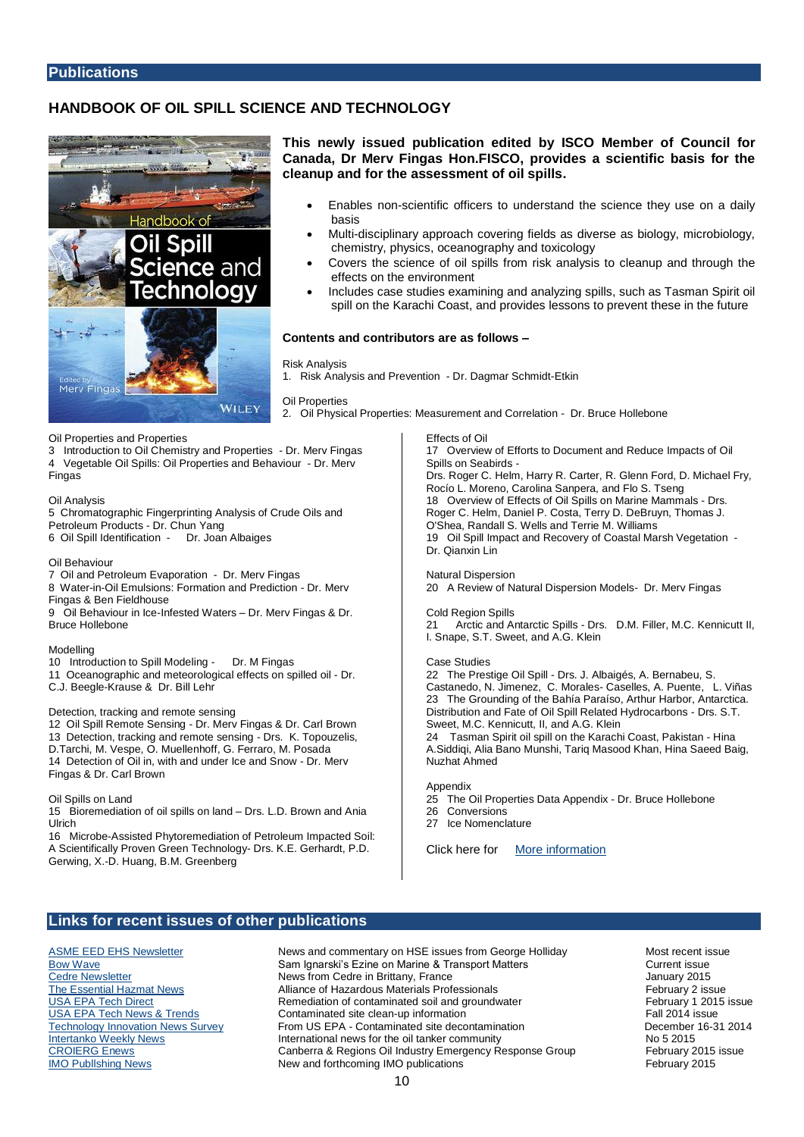#### **Publications**

# **HANDBOOK OF OIL SPILL SCIENCE AND TECHNOLOGY**



**This newly issued publication edited by ISCO Member of Council for Canada, Dr Merv Fingas Hon.FISCO, provides a scientific basis for the cleanup and for the assessment of oil spills.** 

- Enables non-scientific officers to understand the science they use on a daily basis
- Multi-disciplinary approach covering fields as diverse as biology, microbiology, chemistry, physics, oceanography and toxicology
- Covers the science of oil spills from risk analysis to cleanup and through the effects on the environment
- Includes case studies examining and analyzing spills, such as Tasman Spirit oil spill on the Karachi Coast, and provides lessons to prevent these in the future

#### **Contents and contributors are as follows –**

#### Risk Analysis

1. Risk Analysis and Prevention - Dr. Dagmar Schmidt-Etkin

Oil Properties

2. Oil Physical Properties: Measurement and Correlation - Dr. Bruce Hollebone

Oil Properties and Properties

- 3 Introduction to Oil Chemistry and Properties Dr. Merv Fingas
- 4 Vegetable Oil Spills: Oil Properties and Behaviour Dr. Merv

Fingas

#### Oil Analysis

- 5 Chromatographic Fingerprinting Analysis of Crude Oils and Petroleum Products - Dr. Chun Yang
- 6 Oil Spill Identification Dr. Joan Albaiges

#### Oil Behaviour

- 7 Oil and Petroleum Evaporation Dr. Merv Fingas 8 Water-in-Oil Emulsions: Formation and Prediction - Dr. Merv
- Fingas & Ben Fieldhouse 9 Oil Behaviour in Ice-Infested Waters – Dr. Merv Fingas & Dr. Bruce Hollebone

Modelling

- 10 Introduction to Spill Modeling Dr. M Fingas
- 11 Oceanographic and meteorological effects on spilled oil Dr. C.J. Beegle-Krause & Dr. Bill Lehr

#### Detection, tracking and remote sensing

12 Oil Spill Remote Sensing - Dr. Merv Fingas & Dr. Carl Brown 13 Detection, tracking and remote sensing - Drs. K. Topouzelis, D.Tarchi, M. Vespe, O. Muellenhoff, G. Ferraro, M. Posada 14 Detection of Oil in, with and under Ice and Snow - Dr. Merv Fingas & Dr. Carl Brown

#### Oil Spills on Land

15 Bioremediation of oil spills on land – Drs. L.D. Brown and Ania Ulrich

16 Microbe-Assisted Phytoremediation of Petroleum Impacted Soil: A Scientifically Proven Green Technology- Drs. K.E. Gerhardt, P.D. Gerwing, X.-D. Huang, B.M. Greenberg

Effects of Oil

17 Overview of Efforts to Document and Reduce Impacts of Oil Spills on Seabirds - Drs. Roger C. Helm, Harry R. Carter, R. Glenn Ford, D. Michael Fry, Rocío L. Moreno, Carolina Sanpera, and Flo S. Tseng 18 Overview of Effects of Oil Spills on Marine Mammals - Drs. Roger C. Helm, Daniel P. Costa, Terry D. DeBruyn, Thomas J. O'Shea, Randall S. Wells and Terrie M. Williams 19 Oil Spill Impact and Recovery of Coastal Marsh Vegetation - Dr. Qianxin Lin

Natural Dispersion 20 A Review of Natural Dispersion Models- Dr. Merv Fingas

Cold Region Spills 21 Arctic and Antarctic Spills - Drs. D.M. Filler, M.C. Kennicutt II, I. Snape, S.T. Sweet, and A.G. Klein

#### Case Studies

22 The Prestige Oil Spill - Drs. J. Albaigés, A. Bernabeu, S. Castanedo, N. Jimenez, C. Morales- Caselles, A. Puente, L. Viñas 23 The Grounding of the Bahía Paraíso, Arthur Harbor, Antarctica. Distribution and Fate of Oil Spill Related Hydrocarbons - Drs. S.T. Sweet, M.C. Kennicutt, II, and A.G. Klein 24 Tasman Spirit oil spill on the Karachi Coast, Pakistan - Hina

A.Siddiqi, Alia Bano Munshi, Tariq Masood Khan, Hina Saeed Baig, Nuzhat Ahmed

Appendix

- 25 The Oil Properties Data Appendix Dr. Bruce Hollebone
- 26 Conversions<br>27 Ice Nomencli Ice Nomenclature

Click here for [More information](http://eu.wiley.com/WileyCDA/WileyTitle/productCd-0470455519,subjectCd-CH70.html)

#### **Links for recent issues of other publications**

[ASME EED EHS Newsletter](https://community.asme.org/environmental_engineering_division/b/weblog/default.aspx) **News and commentary on HSE issues from George Holliday** Most recent issue [Bow Wave](http://www.wavyline.com/current.php) **Sam Ignarski's Ezine on Marine & Transport Matters** Current issue [Cedre Newsletter](http://www.cedre.fr/en/publication/newsletter/2015/231_E.php) **Cedre Accepts of Cedre in Brittany, France** Cedre in Brittany, France Cedre in Brittany 2015<br>The Essential Hazmat News **Alliance of Hazardous Materials Professionals** February 2 issue [The Essential Hazmat News](http://www.infoinc.com/AHMP/020215.html) **Alliance of Hazardous Materials Professionals** February 2 issue<br>
<u>USA EPA Tech Direct</u> **February 1 2015** issue<br> **Remediation of contaminated soil and groundwater February 1 2015** issue [USA EPA Tech Direct](http://www.clu-in.org/techdirect/td022015.htm) **Tech Remediation of contaminated soil and groundwater** February 1 2014 issue<br>USA EPA Tech News & Trends **Contaminated site clean-up information** Fall 2014 issue Contaminated site clean-up information<br>
From US EPA - Contaminated site decontamination 
From US EPA - Contaminated site decontamination

From US EPA - Contaminated site decontamination [Technology Innovation News Survey](http://www.clu-in.org/products/tins/) From US EPA - Contaminated site decontamination<br>
International news for the oil tanker community No 5 2015 International news for the oil tanker community<br>
Canberra & Regions Oil Industry Emergency Response Group<br>
February 2015 issue [CROIERG Enews](http://www.croierg.com.au/) **CALCE CROIERG Enews** Canberra & Regions Oil Industry Emergency Response Group [IMO Publlshing News](http://www.imo.org/Publications/Documents/Newsletters%20and%20Mailers/Newsletters/feb_b2c.html) New and forthcoming IMO publications February 2015